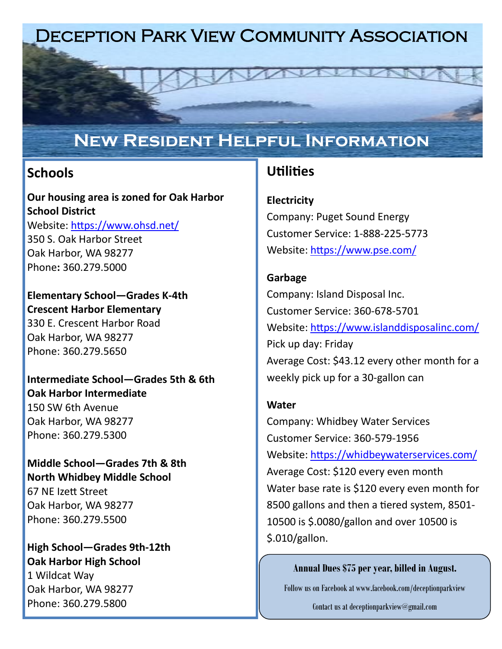# Deception Park View Community Association

# **New Resident Helpful Information**

## **Schools**

**Our housing area is zoned for Oak Harbor School District**  Website: <https://www.ohsd.net/> [350 S. Oak Harbor Street](https://www.google.com/maps?q=350%20S.%20Oak%20Harbor%20Street%20Oak%20Harbor,%20WA%2098277) [Oak Harbor, WA 98277](https://www.google.com/maps?q=350%20S.%20Oak%20Harbor%20Street%20Oak%20Harbor,%20WA%2098277) [Ph](https://www.google.com/maps?q=350%20S.%20Oak%20Harbor%20Street%20Oak%20Harbor,%20WA%2098277)one**:** [360.279.5000](https://www.google.com/maps?q=350%20S.%20Oak%20Harbor%20Street%20Oak%20Harbor,%20WA%2098277)

**Elementary School—Grades K-4th Crescent Harbor Elementary** 330 E. Crescent Harbor Road Oak Harbor, WA 98277 Phone: 360.279.5650

**Intermediate School—Grades 5th & 6th Oak Harbor Intermediate**  150 SW 6th Avenue Oak Harbor, WA 98277 Phone: 360.279.5300

**Middle School—Grades 7th & 8th North Whidbey Middle School** 67 NE Izett Street Oak Harbor, WA 98277 Phone: 360.279.5500

**High School—Grades 9th-12th Oak Harbor High School** 1 Wildcat Way Oak Harbor, WA 98277 Phone: 360.279.5800

## **Utilities**

**Electricity**

Company: Puget Sound Energy Customer Service: 1-888-225-5773 Website: <https://www.pse.com/>

### **Garbage**

Company: Island Disposal Inc. Customer Service: 360-678-5701 Website: <https://www.islanddisposalinc.com/> Pick up day: Friday Average Cost: \$43.12 every other month for a weekly pick up for a 30-gallon can

#### **Water**

Company: Whidbey Water Services Customer Service: 360-579-1956 Website: <https://whidbeywaterservices.com/> Average Cost: \$120 every even month Water base rate is \$120 every even month for 8500 gallons and then a tiered system, 8501- 10500 is \$.0080/gallon and over 10500 is \$.010/gallon.

#### **Annual Dues \$75 per year, billed in August.**

Follow us on Facebook at www.facebook.com/deceptionparkview

Contact us at deceptionparkview@gmail.com